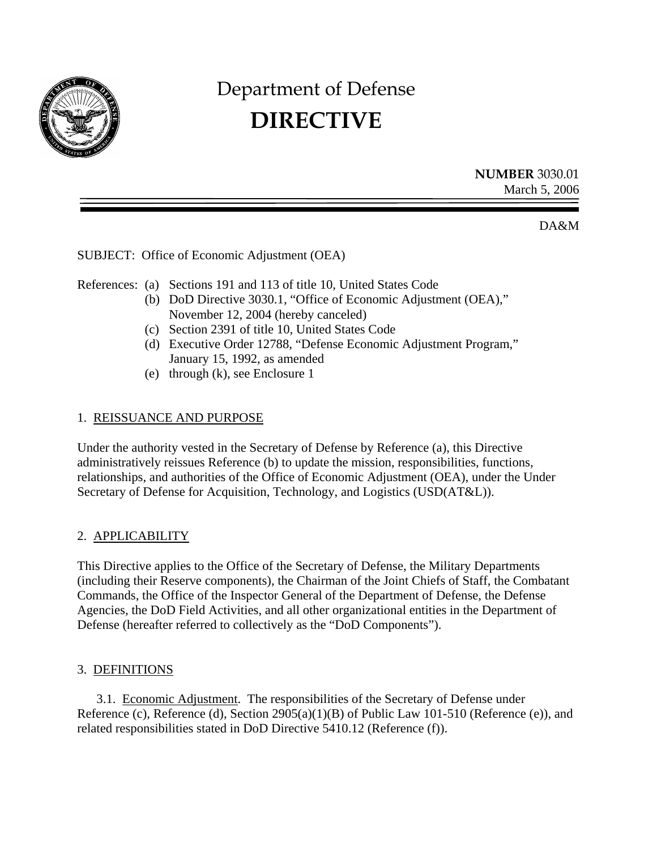

# Department of Defense **DIRECTIVE**

**NUMBER** 3030.01 March 5, 2006

DA&M

SUBJECT: Office of Economic Adjustment (OEA)

References: (a) Sections 191 and 113 of title 10, United States Code

- (b) DoD Directive 3030.1, "Office of Economic Adjustment (OEA)," November 12, 2004 (hereby canceled)
- (c) Section 2391 of title 10, United States Code
- (d) Executive Order 12788, "Defense Economic Adjustment Program," January 15, 1992, as amended
- (e) through (k), see Enclosure 1

#### 1. REISSUANCE AND PURPOSE

Under the authority vested in the Secretary of Defense by Reference (a), this Directive administratively reissues Reference (b) to update the mission, responsibilities, functions, relationships, and authorities of the Office of Economic Adjustment (OEA), under the Under Secretary of Defense for Acquisition, Technology, and Logistics (USD(AT&L)).

#### 2. APPLICABILITY

This Directive applies to the Office of the Secretary of Defense, the Military Departments (including their Reserve components), the Chairman of the Joint Chiefs of Staff, the Combatant Commands, the Office of the Inspector General of the Department of Defense, the Defense Agencies, the DoD Field Activities, and all other organizational entities in the Department of Defense (hereafter referred to collectively as the "DoD Components").

#### 3. DEFINITIONS

3.1. Economic Adjustment. The responsibilities of the Secretary of Defense under Reference (c), Reference (d), Section 2905(a)(1)(B) of Public Law 101-510 (Reference (e)), and related responsibilities stated in DoD Directive 5410.12 (Reference (f)).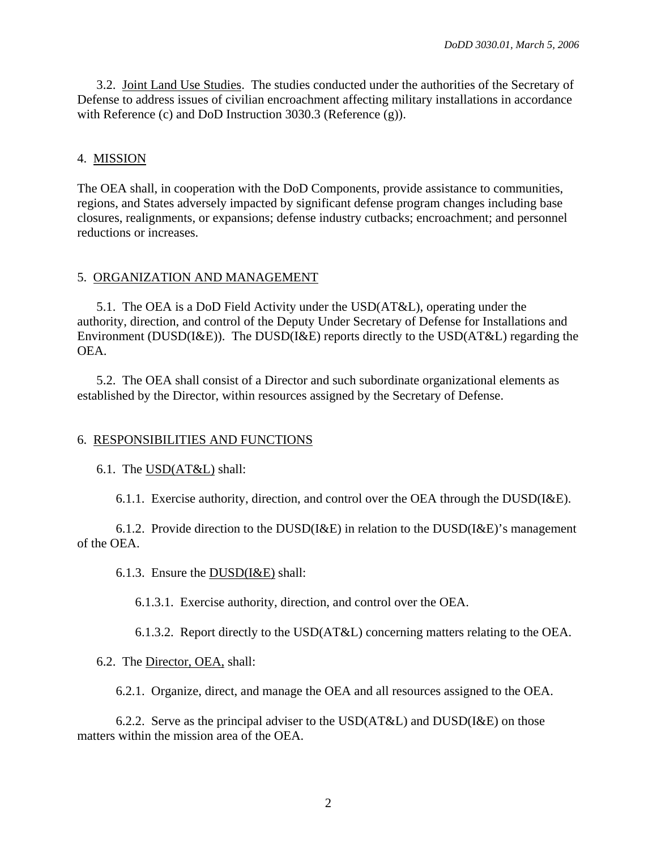3.2. Joint Land Use Studies. The studies conducted under the authorities of the Secretary of Defense to address issues of civilian encroachment affecting military installations in accordance with Reference (c) and DoD Instruction 3030.3 (Reference (g)).

#### 4. MISSION

The OEA shall, in cooperation with the DoD Components, provide assistance to communities, regions, and States adversely impacted by significant defense program changes including base closures, realignments, or expansions; defense industry cutbacks; encroachment; and personnel reductions or increases.

# 5. ORGANIZATION AND MANAGEMENT

5.1. The OEA is a DoD Field Activity under the USD(AT&L), operating under the authority, direction, and control of the Deputy Under Secretary of Defense for Installations and Environment (DUSD(I&E)). The DUSD(I&E) reports directly to the USD(AT&L) regarding the OEA.

5.2. The OEA shall consist of a Director and such subordinate organizational elements as established by the Director, within resources assigned by the Secretary of Defense.

# 6. RESPONSIBILITIES AND FUNCTIONS

6.1. The  $\overline{USD(AT\&L)}$  shall:

6.1.1. Exercise authority, direction, and control over the OEA through the DUSD(I&E).

6.1.2. Provide direction to the DUSD( $I\&E$ ) in relation to the DUSD( $I\&E$ )'s management of the OEA.

6.1.3. Ensure the DUSD(I&E) shall:

6.1.3.1. Exercise authority, direction, and control over the OEA.

6.1.3.2. Report directly to the USD(AT&L) concerning matters relating to the OEA.

# 6.2. The Director, OEA, shall:

6.2.1. Organize, direct, and manage the OEA and all resources assigned to the OEA.

6.2.2. Serve as the principal adviser to the USD(AT&L) and DUSD(I&E) on those matters within the mission area of the OEA.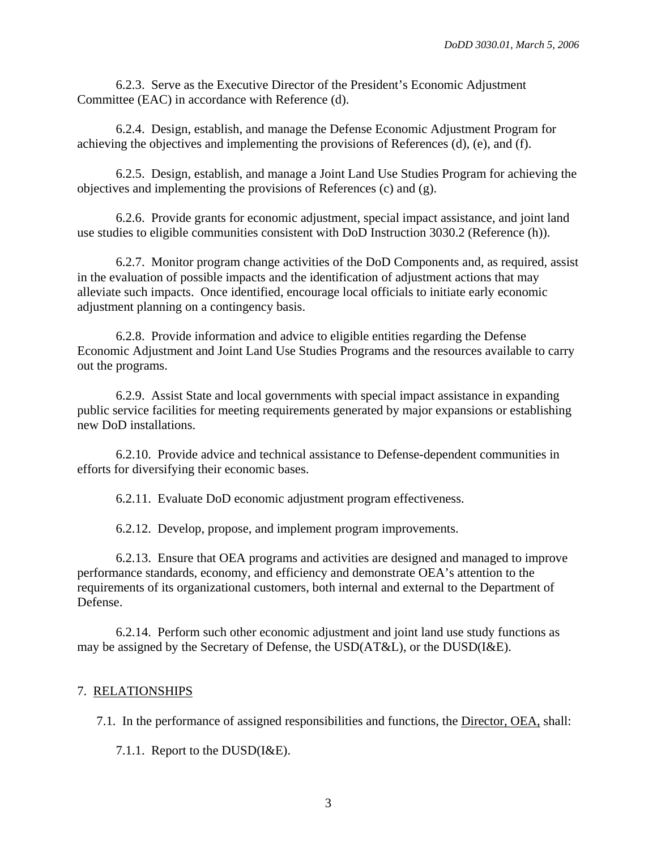6.2.3. Serve as the Executive Director of the President's Economic Adjustment Committee (EAC) in accordance with Reference (d).

6.2.4. Design, establish, and manage the Defense Economic Adjustment Program for achieving the objectives and implementing the provisions of References (d), (e), and (f).

6.2.5. Design, establish, and manage a Joint Land Use Studies Program for achieving the objectives and implementing the provisions of References (c) and (g).

6.2.6. Provide grants for economic adjustment, special impact assistance, and joint land use studies to eligible communities consistent with DoD Instruction 3030.2 (Reference (h)).

6.2.7. Monitor program change activities of the DoD Components and, as required, assist in the evaluation of possible impacts and the identification of adjustment actions that may alleviate such impacts. Once identified, encourage local officials to initiate early economic adjustment planning on a contingency basis.

6.2.8. Provide information and advice to eligible entities regarding the Defense Economic Adjustment and Joint Land Use Studies Programs and the resources available to carry out the programs.

6.2.9. Assist State and local governments with special impact assistance in expanding public service facilities for meeting requirements generated by major expansions or establishing new DoD installations.

6.2.10. Provide advice and technical assistance to Defense-dependent communities in efforts for diversifying their economic bases.

6.2.11. Evaluate DoD economic adjustment program effectiveness.

6.2.12. Develop, propose, and implement program improvements.

6.2.13. Ensure that OEA programs and activities are designed and managed to improve performance standards, economy, and efficiency and demonstrate OEA's attention to the requirements of its organizational customers, both internal and external to the Department of Defense.

6.2.14. Perform such other economic adjustment and joint land use study functions as may be assigned by the Secretary of Defense, the USD(AT&L), or the DUSD(I&E).

#### 7. RELATIONSHIPS

7.1. In the performance of assigned responsibilities and functions, the Director, OEA, shall:

7.1.1. Report to the DUSD(I&E).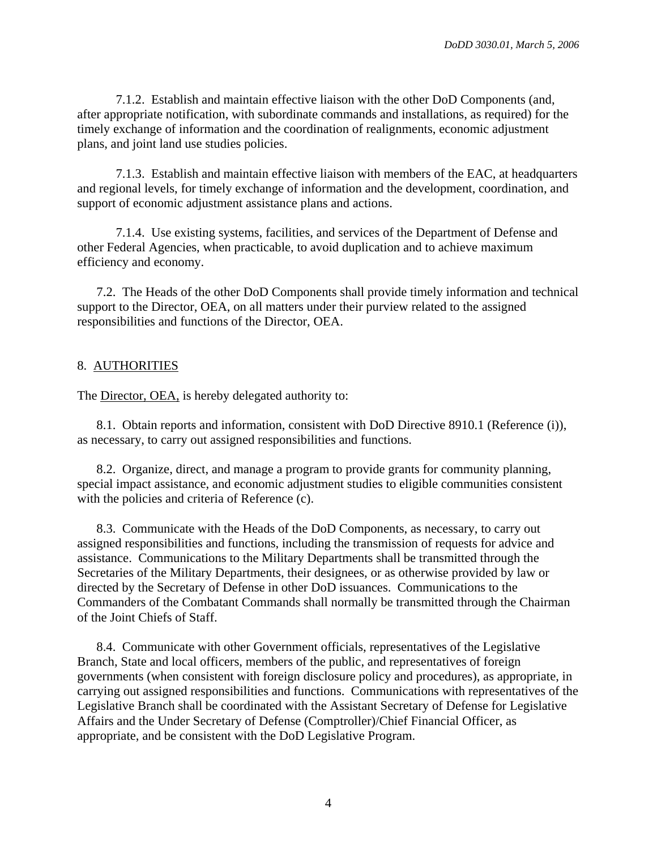7.1.2. Establish and maintain effective liaison with the other DoD Components (and, after appropriate notification, with subordinate commands and installations, as required) for the timely exchange of information and the coordination of realignments, economic adjustment plans, and joint land use studies policies.

7.1.3. Establish and maintain effective liaison with members of the EAC, at headquarters and regional levels, for timely exchange of information and the development, coordination, and support of economic adjustment assistance plans and actions.

7.1.4. Use existing systems, facilities, and services of the Department of Defense and other Federal Agencies, when practicable, to avoid duplication and to achieve maximum efficiency and economy.

7.2. The Heads of the other DoD Components shall provide timely information and technical support to the Director, OEA, on all matters under their purview related to the assigned responsibilities and functions of the Director, OEA.

# 8. AUTHORITIES

The Director, OEA, is hereby delegated authority to:

8.1. Obtain reports and information, consistent with DoD Directive 8910.1 (Reference (i)), as necessary, to carry out assigned responsibilities and functions.

8.2. Organize, direct, and manage a program to provide grants for community planning, special impact assistance, and economic adjustment studies to eligible communities consistent with the policies and criteria of Reference (c).

8.3. Communicate with the Heads of the DoD Components, as necessary, to carry out assigned responsibilities and functions, including the transmission of requests for advice and assistance. Communications to the Military Departments shall be transmitted through the Secretaries of the Military Departments, their designees, or as otherwise provided by law or directed by the Secretary of Defense in other DoD issuances. Communications to the Commanders of the Combatant Commands shall normally be transmitted through the Chairman of the Joint Chiefs of Staff.

8.4. Communicate with other Government officials, representatives of the Legislative Branch, State and local officers, members of the public, and representatives of foreign governments (when consistent with foreign disclosure policy and procedures), as appropriate, in carrying out assigned responsibilities and functions. Communications with representatives of the Legislative Branch shall be coordinated with the Assistant Secretary of Defense for Legislative Affairs and the Under Secretary of Defense (Comptroller)/Chief Financial Officer, as appropriate, and be consistent with the DoD Legislative Program.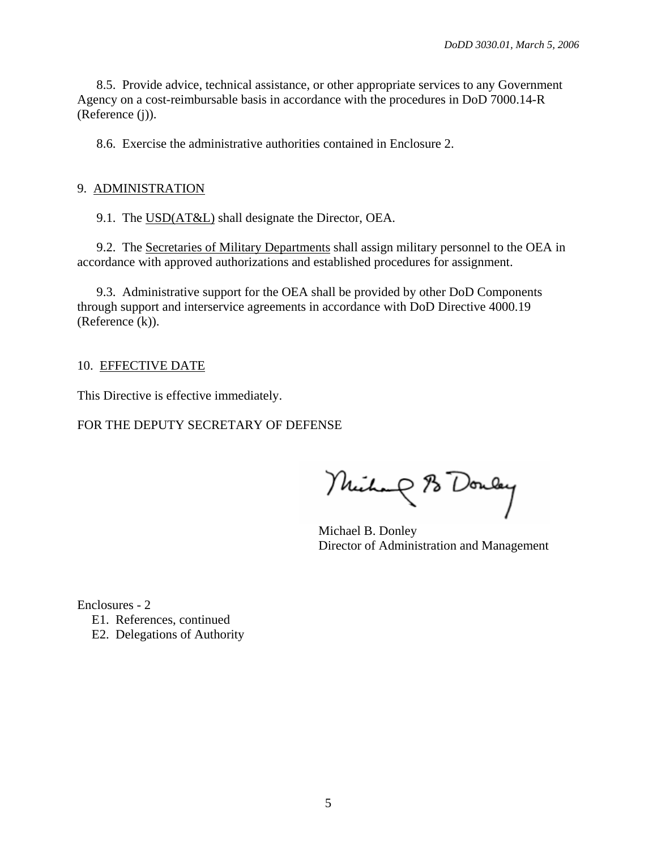8.5. Provide advice, technical assistance, or other appropriate services to any Government Agency on a cost-reimbursable basis in accordance with the procedures in DoD 7000.14-R (Reference (j)).

8.6. Exercise the administrative authorities contained in Enclosure 2.

# 9. ADMINISTRATION

9.1. The USD(AT&L) shall designate the Director, OEA.

9.2. The Secretaries of Military Departments shall assign military personnel to the OEA in accordance with approved authorizations and established procedures for assignment.

9.3. Administrative support for the OEA shall be provided by other DoD Components through support and interservice agreements in accordance with DoD Directive 4000.19 (Reference (k)).

# 10. EFFECTIVE DATE

This Directive is effective immediately.

# FOR THE DEPUTY SECRETARY OF DEFENSE

Michael B Donley

 Michael B. Donley Director of Administration and Management

Enclosures - 2

- E1. References, continued
- E2. Delegations of Authority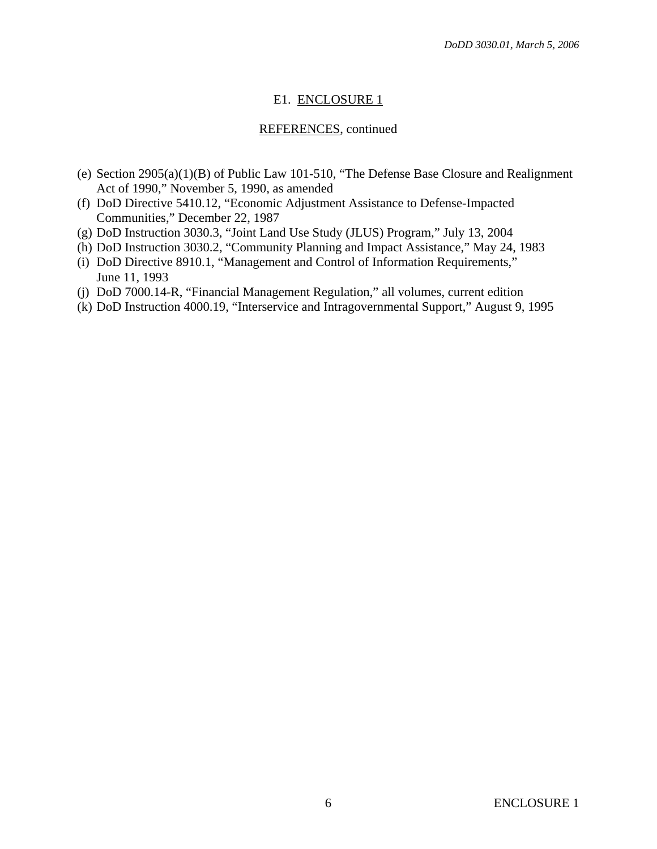# E1. ENCLOSURE 1

# REFERENCES, continued

- (e) Section 2905(a)(1)(B) of Public Law 101-510, "The Defense Base Closure and Realignment Act of 1990," November 5, 1990, as amended
- (f) DoD Directive 5410.12, "Economic Adjustment Assistance to Defense-Impacted Communities," December 22, 1987
- (g) DoD Instruction 3030.3, "Joint Land Use Study (JLUS) Program," July 13, 2004
- (h) DoD Instruction 3030.2, "Community Planning and Impact Assistance," May 24, 1983
- (i) DoD Directive 8910.1, "Management and Control of Information Requirements," June 11, 1993
- (j) DoD 7000.14-R, "Financial Management Regulation," all volumes, current edition
- (k) DoD Instruction 4000.19, "Interservice and Intragovernmental Support," August 9, 1995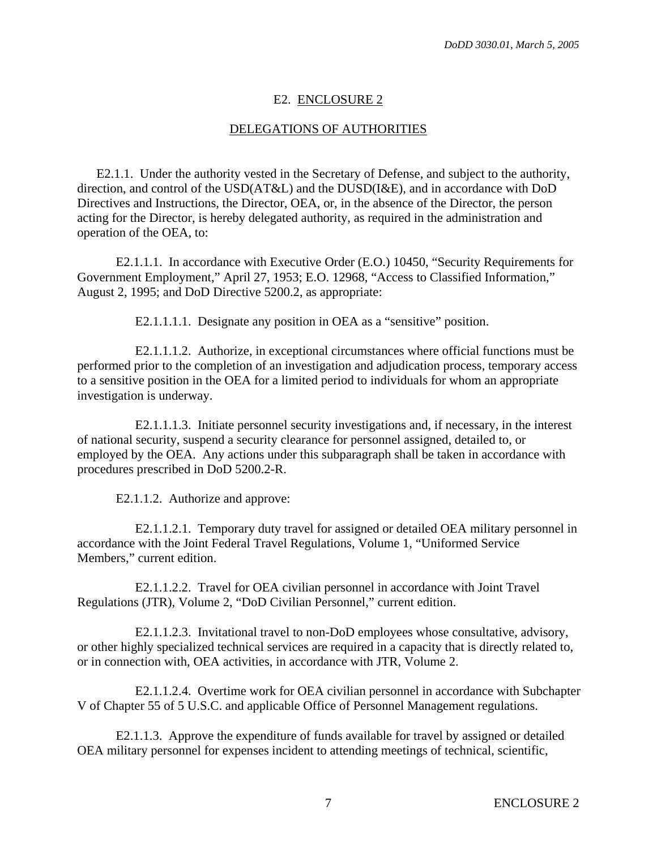# E2. ENCLOSURE 2

#### DELEGATIONS OF AUTHORITIES

E2.1.1. Under the authority vested in the Secretary of Defense, and subject to the authority, direction, and control of the USD(AT&L) and the DUSD(I&E), and in accordance with DoD Directives and Instructions, the Director, OEA, or, in the absence of the Director, the person acting for the Director, is hereby delegated authority, as required in the administration and operation of the OEA, to:

E2.1.1.1. In accordance with Executive Order (E.O.) 10450, "Security Requirements for Government Employment," April 27, 1953; E.O. 12968, "Access to Classified Information," August 2, 1995; and DoD Directive 5200.2, as appropriate:

E2.1.1.1.1. Designate any position in OEA as a "sensitive" position.

E2.1.1.1.2. Authorize, in exceptional circumstances where official functions must be performed prior to the completion of an investigation and adjudication process, temporary access to a sensitive position in the OEA for a limited period to individuals for whom an appropriate investigation is underway.

E2.1.1.1.3. Initiate personnel security investigations and, if necessary, in the interest of national security, suspend a security clearance for personnel assigned, detailed to, or employed by the OEA. Any actions under this subparagraph shall be taken in accordance with procedures prescribed in DoD 5200.2-R.

E2.1.1.2. Authorize and approve:

E2.1.1.2.1. Temporary duty travel for assigned or detailed OEA military personnel in accordance with the Joint Federal Travel Regulations, Volume 1, "Uniformed Service Members," current edition.

E2.1.1.2.2. Travel for OEA civilian personnel in accordance with Joint Travel Regulations (JTR), Volume 2, "DoD Civilian Personnel," current edition.

E2.1.1.2.3. Invitational travel to non-DoD employees whose consultative, advisory, or other highly specialized technical services are required in a capacity that is directly related to, or in connection with, OEA activities, in accordance with JTR, Volume 2.

E2.1.1.2.4. Overtime work for OEA civilian personnel in accordance with Subchapter V of Chapter 55 of 5 U.S.C. and applicable Office of Personnel Management regulations.

E2.1.1.3. Approve the expenditure of funds available for travel by assigned or detailed OEA military personnel for expenses incident to attending meetings of technical, scientific,